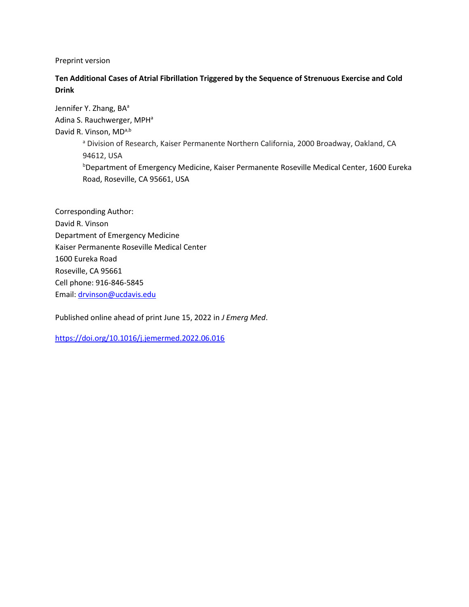Preprint version

## **Ten Additional Cases of Atrial Fibrillation Triggered by the Sequence of Strenuous Exercise and Cold Drink**

Jennifer Y. Zhang, BA<sup>a</sup> Adina S. Rauchwerger, MPH<sup>a</sup> David R. Vinson, MDa,b a Division of Research, Kaiser Permanente Northern California, 2000 Broadway, Oakland, CA 94612, USA **bDepartment of Emergency Medicine, Kaiser Permanente Roseville Medical Center, 1600 Eureka** Road, Roseville, CA 95661, USA

Corresponding Author: David R. Vinson Department of Emergency Medicine Kaiser Permanente Roseville Medical Center 1600 Eureka Road Roseville, CA 95661 Cell phone: 916-846-5845 Email: [drvinson@ucdavis.edu](mailto:drvinson@ucdavis.edu)

Published online ahead of print June 15, 2022 in *J Emerg Med*.

<https://doi.org/10.1016/j.jemermed.2022.06.016>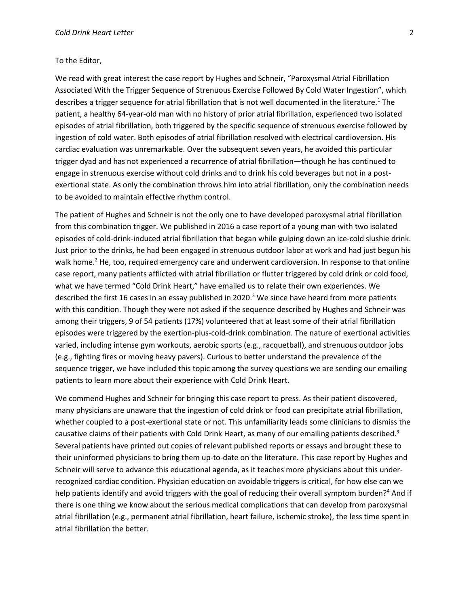## To the Editor,

We read with great interest the case report by Hughes and Schneir, "Paroxysmal Atrial Fibrillation Associated With the Trigger Sequence of Strenuous Exercise Followed By Cold Water Ingestion", which describes a trigger sequence for atrial fibrillation that is not well documented in the literature.<sup>1</sup> The patient, a healthy 64-year-old man with no history of prior atrial fibrillation, experienced two isolated episodes of atrial fibrillation, both triggered by the specific sequence of strenuous exercise followed by ingestion of cold water. Both episodes of atrial fibrillation resolved with electrical cardioversion. His cardiac evaluation was unremarkable. Over the subsequent seven years, he avoided this particular trigger dyad and has not experienced a recurrence of atrial fibrillation—though he has continued to engage in strenuous exercise without cold drinks and to drink his cold beverages but not in a postexertional state. As only the combination throws him into atrial fibrillation, only the combination needs to be avoided to maintain effective rhythm control.

The patient of Hughes and Schneir is not the only one to have developed paroxysmal atrial fibrillation from this combination trigger. We published in 2016 a case report of a young man with two isolated episodes of cold-drink-induced atrial fibrillation that began while gulping down an ice-cold slushie drink. Just prior to the drinks, he had been engaged in strenuous outdoor labor at work and had just begun his walk home.<sup>2</sup> He, too, required emergency care and underwent cardioversion. In response to that online case report, many patients afflicted with atrial fibrillation or flutter triggered by cold drink or cold food, what we have termed "Cold Drink Heart," have emailed us to relate their own experiences. We described the first 16 cases in an essay published in 2020.<sup>3</sup> We since have heard from more patients with this condition. Though they were not asked if the sequence described by Hughes and Schneir was among their triggers, 9 of 54 patients (17%) volunteered that at least some of their atrial fibrillation episodes were triggered by the exertion-plus-cold-drink combination. The nature of exertional activities varied, including intense gym workouts, aerobic sports (e.g., racquetball), and strenuous outdoor jobs (e.g., fighting fires or moving heavy pavers). Curious to better understand the prevalence of the sequence trigger, we have included this topic among the survey questions we are sending our emailing patients to learn more about their experience with Cold Drink Heart.

We commend Hughes and Schneir for bringing this case report to press. As their patient discovered, many physicians are unaware that the ingestion of cold drink or food can precipitate atrial fibrillation, whether coupled to a post-exertional state or not. This unfamiliarity leads some clinicians to dismiss the causative claims of their patients with Cold Drink Heart, as many of our emailing patients described.<sup>3</sup> Several patients have printed out copies of relevant published reports or essays and brought these to their uninformed physicians to bring them up-to-date on the literature. This case report by Hughes and Schneir will serve to advance this educational agenda, as it teaches more physicians about this underrecognized cardiac condition. Physician education on avoidable triggers is critical, for how else can we help patients identify and avoid triggers with the goal of reducing their overall symptom burden?<sup>4</sup> And if there is one thing we know about the serious medical complications that can develop from paroxysmal atrial fibrillation (e.g., permanent atrial fibrillation, heart failure, ischemic stroke), the less time spent in atrial fibrillation the better.